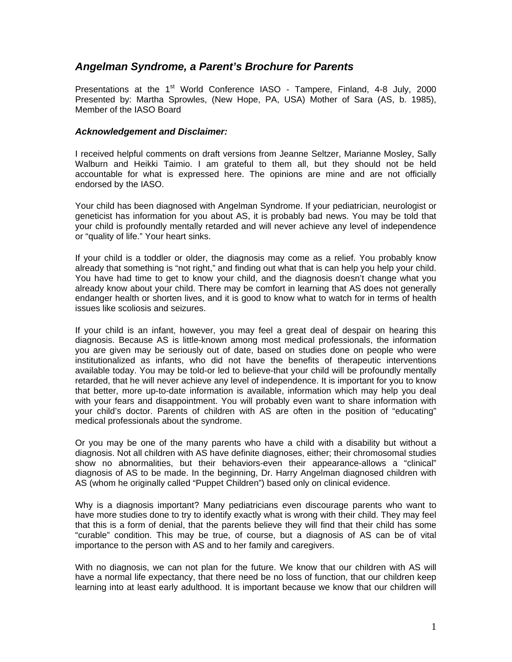## *Angelman Syndrome, a Parent's Brochure for Parents*

Presentations at the 1<sup>st</sup> World Conference IASO - Tampere, Finland, 4-8 July, 2000 Presented by: Martha Sprowles, (New Hope, PA, USA) Mother of Sara (AS, b. 1985), Member of the IASO Board

## *Acknowledgement and Disclaimer:*

I received helpful comments on draft versions from Jeanne Seltzer, Marianne Mosley, Sally Walburn and Heikki Taimio. I am grateful to them all, but they should not be held accountable for what is expressed here. The opinions are mine and are not officially endorsed by the IASO.

Your child has been diagnosed with Angelman Syndrome. If your pediatrician, neurologist or geneticist has information for you about AS, it is probably bad news. You may be told that your child is profoundly mentally retarded and will never achieve any level of independence or "quality of life." Your heart sinks.

If your child is a toddler or older, the diagnosis may come as a relief. You probably know already that something is "not right," and finding out what that is can help you help your child. You have had time to get to know your child, and the diagnosis doesn't change what you already know about your child. There may be comfort in learning that AS does not generally endanger health or shorten lives, and it is good to know what to watch for in terms of health issues like scoliosis and seizures.

If your child is an infant, however, you may feel a great deal of despair on hearing this diagnosis. Because AS is little-known among most medical professionals, the information you are given may be seriously out of date, based on studies done on people who were institutionalized as infants, who did not have the benefits of therapeutic interventions available today. You may be told-or led to believe-that your child will be profoundly mentally retarded, that he will never achieve any level of independence. It is important for you to know that better, more up-to-date information is available, information which may help you deal with your fears and disappointment. You will probably even want to share information with your child's doctor. Parents of children with AS are often in the position of "educating" medical professionals about the syndrome.

Or you may be one of the many parents who have a child with a disability but without a diagnosis. Not all children with AS have definite diagnoses, either; their chromosomal studies show no abnormalities, but their behaviors-even their appearance-allows a "clinical" diagnosis of AS to be made. In the beginning, Dr. Harry Angelman diagnosed children with AS (whom he originally called "Puppet Children") based only on clinical evidence.

Why is a diagnosis important? Many pediatricians even discourage parents who want to have more studies done to try to identify exactly what is wrong with their child. They may feel that this is a form of denial, that the parents believe they will find that their child has some "curable" condition. This may be true, of course, but a diagnosis of AS can be of vital importance to the person with AS and to her family and caregivers.

With no diagnosis, we can not plan for the future. We know that our children with AS will have a normal life expectancy, that there need be no loss of function, that our children keep learning into at least early adulthood. It is important because we know that our children will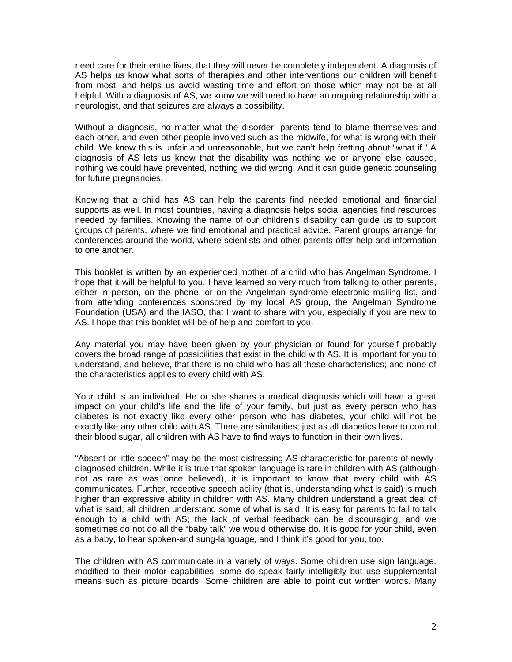need care for their entire lives, that they will never be completely independent. A diagnosis of AS helps us know what sorts of therapies and other interventions our children will benefit from most, and helps us avoid wasting time and effort on those which may not be at all helpful. With a diagnosis of AS, we know we will need to have an ongoing relationship with a neurologist, and that seizures are always a possibility.

Without a diagnosis, no matter what the disorder, parents tend to blame themselves and each other, and even other people involved such as the midwife, for what is wrong with their child. We know this is unfair and unreasonable, but we can't help fretting about "what if." A diagnosis of AS lets us know that the disability was nothing we or anyone else caused, nothing we could have prevented, nothing we did wrong. And it can guide genetic counseling for future pregnancies.

Knowing that a child has AS can help the parents find needed emotional and financial supports as well. In most countries, having a diagnosis helps social agencies find resources needed by families. Knowing the name of our children's disability can guide us to support groups of parents, where we find emotional and practical advice. Parent groups arrange for conferences around the world, where scientists and other parents offer help and information to one another.

This booklet is written by an experienced mother of a child who has Angelman Syndrome. I hope that it will be helpful to you. I have learned so very much from talking to other parents, either in person, on the phone, or on the Angelman syndrome electronic mailing list, and from attending conferences sponsored by my local AS group, the Angelman Syndrome Foundation (USA) and the IASO, that I want to share with you, especially if you are new to AS. I hope that this booklet will be of help and comfort to you.

Any material you may have been given by your physician or found for yourself probably covers the broad range of possibilities that exist in the child with AS. It is important for you to understand, and believe, that there is no child who has all these characteristics; and none of the characteristics applies to every child with AS.

Your child is an individual. He or she shares a medical diagnosis which will have a great impact on your child's life and the life of your family, but just as every person who has diabetes is not exactly like every other person who has diabetes, your child will not be exactly like any other child with AS. There are similarities; just as all diabetics have to control their blood sugar, all children with AS have to find ways to function in their own lives.

"Absent or little speech" may be the most distressing AS characteristic for parents of newlydiagnosed children. While it is true that spoken language is rare in children with AS (although not as rare as was once believed), it is important to know that every child with AS communicates. Further, receptive speech ability (that is, understanding what is said) is much higher than expressive ability in children with AS. Many children understand a great deal of what is said; all children understand some of what is said. It is easy for parents to fail to talk enough to a child with AS; the lack of verbal feedback can be discouraging, and we sometimes do not do all the "baby talk" we would otherwise do. It is good for your child, even as a baby, to hear spoken-and sung-language, and I think it's good for you, too.

The children with AS communicate in a variety of ways. Some children use sign language, modified to their motor capabilities; some do speak fairly intelligibly but use supplemental means such as picture boards. Some children are able to point out written words. Many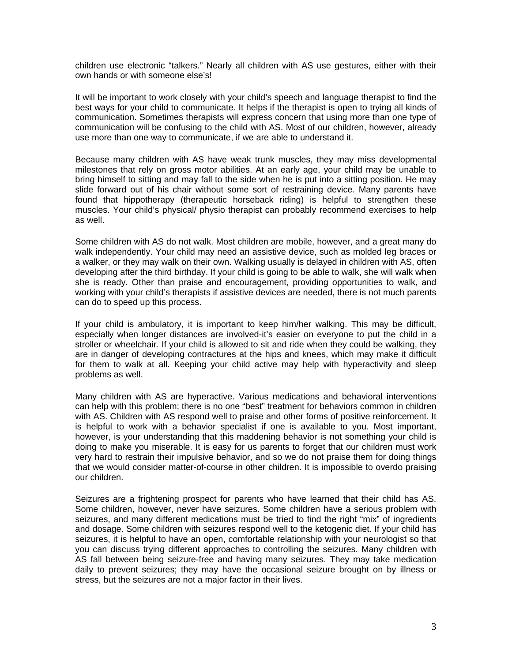children use electronic "talkers." Nearly all children with AS use gestures, either with their own hands or with someone else's!

It will be important to work closely with your child's speech and language therapist to find the best ways for your child to communicate. It helps if the therapist is open to trying all kinds of communication. Sometimes therapists will express concern that using more than one type of communication will be confusing to the child with AS. Most of our children, however, already use more than one way to communicate, if we are able to understand it.

Because many children with AS have weak trunk muscles, they may miss developmental milestones that rely on gross motor abilities. At an early age, your child may be unable to bring himself to sitting and may fall to the side when he is put into a sitting position. He may slide forward out of his chair without some sort of restraining device. Many parents have found that hippotherapy (therapeutic horseback riding) is helpful to strengthen these muscles. Your child's physical/ physio therapist can probably recommend exercises to help as well.

Some children with AS do not walk. Most children are mobile, however, and a great many do walk independently. Your child may need an assistive device, such as molded leg braces or a walker, or they may walk on their own. Walking usually is delayed in children with AS, often developing after the third birthday. If your child is going to be able to walk, she will walk when she is ready. Other than praise and encouragement, providing opportunities to walk, and working with your child's therapists if assistive devices are needed, there is not much parents can do to speed up this process.

If your child is ambulatory, it is important to keep him/her walking. This may be difficult, especially when longer distances are involved-it's easier on everyone to put the child in a stroller or wheelchair. If your child is allowed to sit and ride when they could be walking, they are in danger of developing contractures at the hips and knees, which may make it difficult for them to walk at all. Keeping your child active may help with hyperactivity and sleep problems as well.

Many children with AS are hyperactive. Various medications and behavioral interventions can help with this problem; there is no one "best" treatment for behaviors common in children with AS. Children with AS respond well to praise and other forms of positive reinforcement. It is helpful to work with a behavior specialist if one is available to you. Most important, however, is your understanding that this maddening behavior is not something your child is doing to make you miserable. It is easy for us parents to forget that our children must work very hard to restrain their impulsive behavior, and so we do not praise them for doing things that we would consider matter-of-course in other children. It is impossible to overdo praising our children.

Seizures are a frightening prospect for parents who have learned that their child has AS. Some children, however, never have seizures. Some children have a serious problem with seizures, and many different medications must be tried to find the right "mix" of ingredients and dosage. Some children with seizures respond well to the ketogenic diet. If your child has seizures, it is helpful to have an open, comfortable relationship with your neurologist so that you can discuss trying different approaches to controlling the seizures. Many children with AS fall between being seizure-free and having many seizures. They may take medication daily to prevent seizures; they may have the occasional seizure brought on by illness or stress, but the seizures are not a major factor in their lives.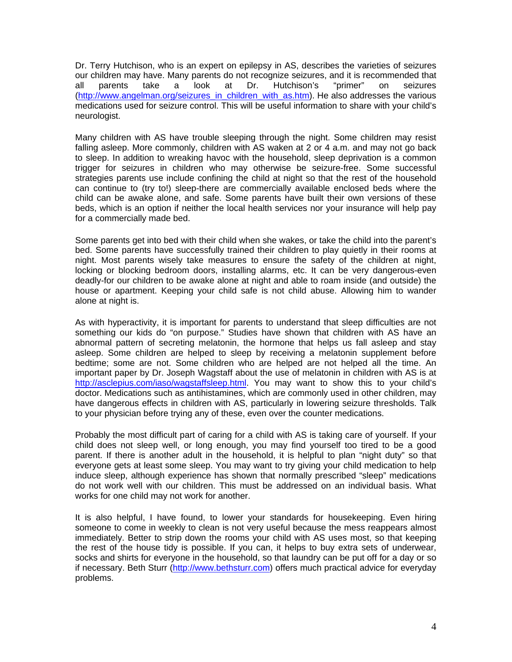Dr. Terry Hutchison, who is an expert on epilepsy in AS, describes the varieties of seizures our children may have. Many parents do not recognize seizures, and it is recommended that all parents take a look at Dr. Hutchison's "primer" on seizures [\(http://www.angelman.org/seizures\\_in\\_children\\_with\\_as.htm](http://www.angelman.org/seizures_in_children_with_as.htm)). He also addresses the various medications used for seizure control. This will be useful information to share with your child's neurologist.

Many children with AS have trouble sleeping through the night. Some children may resist falling asleep. More commonly, children with AS waken at 2 or 4 a.m. and may not go back to sleep. In addition to wreaking havoc with the household, sleep deprivation is a common trigger for seizures in children who may otherwise be seizure-free. Some successful strategies parents use include confining the child at night so that the rest of the household can continue to (try to!) sleep-there are commercially available enclosed beds where the child can be awake alone, and safe. Some parents have built their own versions of these beds, which is an option if neither the local health services nor your insurance will help pay for a commercially made bed.

Some parents get into bed with their child when she wakes, or take the child into the parent's bed. Some parents have successfully trained their children to play quietly in their rooms at night. Most parents wisely take measures to ensure the safety of the children at night, locking or blocking bedroom doors, installing alarms, etc. It can be very dangerous-even deadly-for our children to be awake alone at night and able to roam inside (and outside) the house or apartment. Keeping your child safe is not child abuse. Allowing him to wander alone at night is.

As with hyperactivity, it is important for parents to understand that sleep difficulties are not something our kids do "on purpose." Studies have shown that children with AS have an abnormal pattern of secreting melatonin, the hormone that helps us fall asleep and stay asleep. Some children are helped to sleep by receiving a melatonin supplement before bedtime; some are not. Some children who are helped are not helped all the time. An important paper by Dr. Joseph Wagstaff about the use of melatonin in children with AS is at [http://asclepius.com/iaso/wagstaffsleep.html.](http://asclepius.com/iaso/wagstaffsleep.html) You may want to show this to your child's doctor. Medications such as antihistamines, which are commonly used in other children, may have dangerous effects in children with AS, particularly in lowering seizure thresholds. Talk to your physician before trying any of these, even over the counter medications.

Probably the most difficult part of caring for a child with AS is taking care of yourself. If your child does not sleep well, or long enough, you may find yourself too tired to be a good parent. If there is another adult in the household, it is helpful to plan "night duty" so that everyone gets at least some sleep. You may want to try giving your child medication to help induce sleep, although experience has shown that normally prescribed "sleep" medications do not work well with our children. This must be addressed on an individual basis. What works for one child may not work for another.

It is also helpful, I have found, to lower your standards for housekeeping. Even hiring someone to come in weekly to clean is not very useful because the mess reappears almost immediately. Better to strip down the rooms your child with AS uses most, so that keeping the rest of the house tidy is possible. If you can, it helps to buy extra sets of underwear, socks and shirts for everyone in the household, so that laundry can be put off for a day or so if necessary. Beth Sturr ([http://www.bethsturr.com\)](http://www.bethsturr.com/) offers much practical advice for everyday problems.